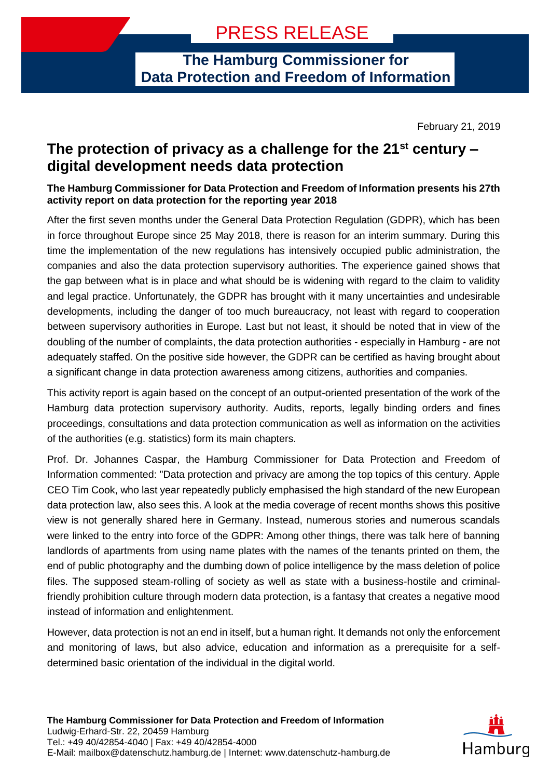**The Hamburg Commissioner for Data Protection and Freedom of Information**

February 21, 2019

## **The protection of privacy as a challenge for the 21st century – digital development needs data protection**

**The Hamburg Commissioner for Data Protection and Freedom of Information presents his 27th activity report on data protection for the reporting year 2018**

After the first seven months under the General Data Protection Regulation (GDPR), which has been in force throughout Europe since 25 May 2018, there is reason for an interim summary. During this time the implementation of the new regulations has intensively occupied public administration, the companies and also the data protection supervisory authorities. The experience gained shows that the gap between what is in place and what should be is widening with regard to the claim to validity and legal practice. Unfortunately, the GDPR has brought with it many uncertainties and undesirable developments, including the danger of too much bureaucracy, not least with regard to cooperation between supervisory authorities in Europe. Last but not least, it should be noted that in view of the doubling of the number of complaints, the data protection authorities - especially in Hamburg - are not adequately staffed. On the positive side however, the GDPR can be certified as having brought about a significant change in data protection awareness among citizens, authorities and companies.

This activity report is again based on the concept of an output-oriented presentation of the work of the Hamburg data protection supervisory authority. Audits, reports, legally binding orders and fines proceedings, consultations and data protection communication as well as information on the activities of the authorities (e.g. statistics) form its main chapters.

Prof. Dr. Johannes Caspar, the Hamburg Commissioner for Data Protection and Freedom of Information commented: "Data protection and privacy are among the top topics of this century. Apple CEO Tim Cook, who last year repeatedly publicly emphasised the high standard of the new European data protection law, also sees this. A look at the media coverage of recent months shows this positive view is not generally shared here in Germany. Instead, numerous stories and numerous scandals were linked to the entry into force of the GDPR: Among other things, there was talk here of banning landlords of apartments from using name plates with the names of the tenants printed on them, the end of public photography and the dumbing down of police intelligence by the mass deletion of police files. The supposed steam-rolling of society as well as state with a business-hostile and criminalfriendly prohibition culture through modern data protection, is a fantasy that creates a negative mood instead of information and enlightenment.

However, data protection is not an end in itself, but a human right. It demands not only the enforcement and monitoring of laws, but also advice, education and information as a prerequisite for a selfdetermined basic orientation of the individual in the digital world.

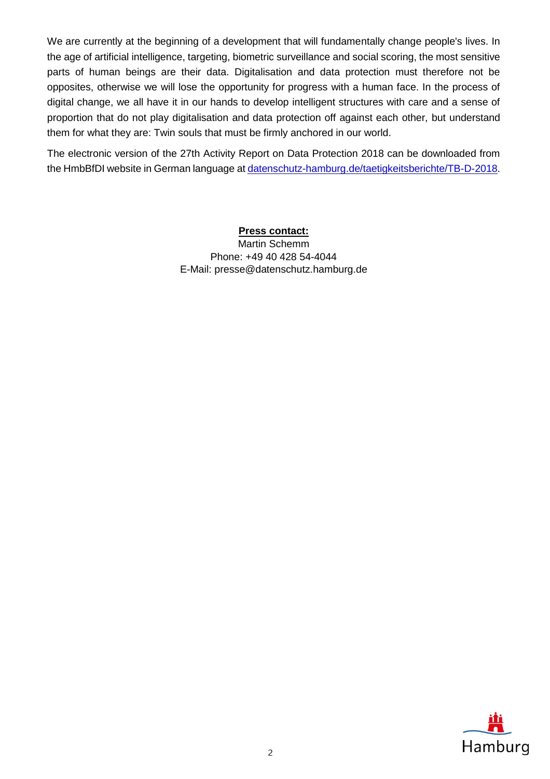We are currently at the beginning of a development that will fundamentally change people's lives. In the age of artificial intelligence, targeting, biometric surveillance and social scoring, the most sensitive parts of human beings are their data. Digitalisation and data protection must therefore not be opposites, otherwise we will lose the opportunity for progress with a human face. In the process of digital change, we all have it in our hands to develop intelligent structures with care and a sense of proportion that do not play digitalisation and data protection off against each other, but understand them for what they are: Twin souls that must be firmly anchored in our world.

The electronic version of the 27th Activity Report on Data Protection 2018 can be downloaded from the HmbBfDI website in German language at [datenschutz-hamburg.de/taetigkeitsberichte/TB-D-2018.](http://datenschutz-hamburg.de/taetigkeitsberichte/TB-D-2018/)

## **Press contact:**

Martin Schemm Phone: +49 40 428 54-4044 E-Mail: presse@datenschutz.hamburg.de

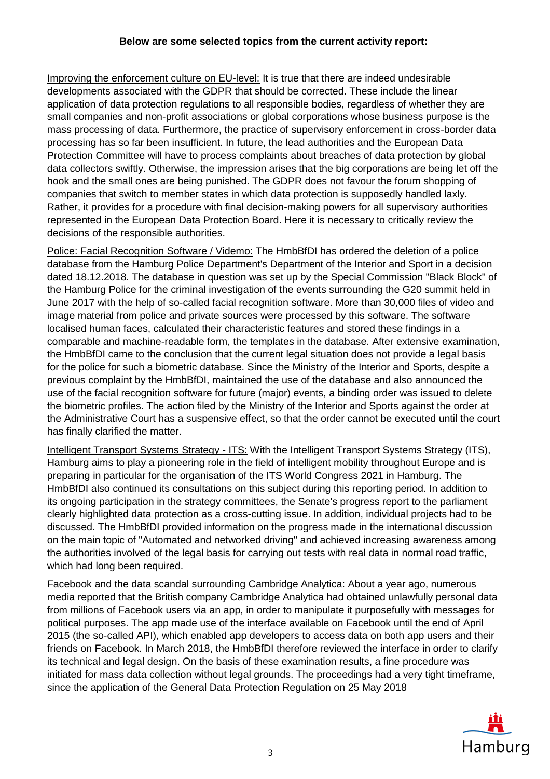## **Below are some selected topics from the current activity report:**

Improving the enforcement culture on EU-level: It is true that there are indeed undesirable developments associated with the GDPR that should be corrected. These include the linear application of data protection regulations to all responsible bodies, regardless of whether they are small companies and non-profit associations or global corporations whose business purpose is the mass processing of data. Furthermore, the practice of supervisory enforcement in cross-border data processing has so far been insufficient. In future, the lead authorities and the European Data Protection Committee will have to process complaints about breaches of data protection by global data collectors swiftly. Otherwise, the impression arises that the big corporations are being let off the hook and the small ones are being punished. The GDPR does not favour the forum shopping of companies that switch to member states in which data protection is supposedly handled laxly. Rather, it provides for a procedure with final decision-making powers for all supervisory authorities represented in the European Data Protection Board. Here it is necessary to critically review the decisions of the responsible authorities.

Police: Facial Recognition Software / Videmo: The HmbBfDI has ordered the deletion of a police database from the Hamburg Police Department's Department of the Interior and Sport in a decision dated 18.12.2018. The database in question was set up by the Special Commission "Black Block" of the Hamburg Police for the criminal investigation of the events surrounding the G20 summit held in June 2017 with the help of so-called facial recognition software. More than 30,000 files of video and image material from police and private sources were processed by this software. The software localised human faces, calculated their characteristic features and stored these findings in a comparable and machine-readable form, the templates in the database. After extensive examination, the HmbBfDI came to the conclusion that the current legal situation does not provide a legal basis for the police for such a biometric database. Since the Ministry of the Interior and Sports, despite a previous complaint by the HmbBfDI, maintained the use of the database and also announced the use of the facial recognition software for future (major) events, a binding order was issued to delete the biometric profiles. The action filed by the Ministry of the Interior and Sports against the order at the Administrative Court has a suspensive effect, so that the order cannot be executed until the court has finally clarified the matter.

Intelligent Transport Systems Strategy - ITS: With the Intelligent Transport Systems Strategy (ITS), Hamburg aims to play a pioneering role in the field of intelligent mobility throughout Europe and is preparing in particular for the organisation of the ITS World Congress 2021 in Hamburg. The HmbBfDI also continued its consultations on this subject during this reporting period. In addition to its ongoing participation in the strategy committees, the Senate's progress report to the parliament clearly highlighted data protection as a cross-cutting issue. In addition, individual projects had to be discussed. The HmbBfDI provided information on the progress made in the international discussion on the main topic of "Automated and networked driving" and achieved increasing awareness among the authorities involved of the legal basis for carrying out tests with real data in normal road traffic, which had long been required.

Facebook and the data scandal surrounding Cambridge Analytica: About a year ago, numerous media reported that the British company Cambridge Analytica had obtained unlawfully personal data from millions of Facebook users via an app, in order to manipulate it purposefully with messages for political purposes. The app made use of the interface available on Facebook until the end of April 2015 (the so-called API), which enabled app developers to access data on both app users and their friends on Facebook. In March 2018, the HmbBfDI therefore reviewed the interface in order to clarify its technical and legal design. On the basis of these examination results, a fine procedure was initiated for mass data collection without legal grounds. The proceedings had a very tight timeframe, since the application of the General Data Protection Regulation on 25 May 2018